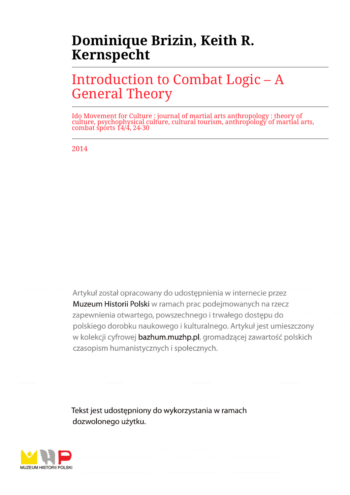# **Dominique Brizin, Keith R. Kernspecht**

# Introduction to Combat Logic – A General Theory

Ido Movement for Culture : journal of martial arts anthropology : theory of culture, psychophysical culture, cultural tourism, anthropology of martial arts, combat sports 14/4, 24-30

2014

Artykuł został opracowany do udostepnienia w internecie przez Muzeum Historii Polski w ramach prac podejmowanych na rzecz zapewnienia otwartego, powszechnego i trwałego dostępu do polskiego dorobku naukowego i kulturalnego. Artykuł jest umieszczony w kolekcji cyfrowej bazhum.muzhp.pl, gromadzącej zawartość polskich czasopism humanistycznych i społecznych.

Tekst jest udostępniony do wykorzystania w ramach dozwolonego użytku.

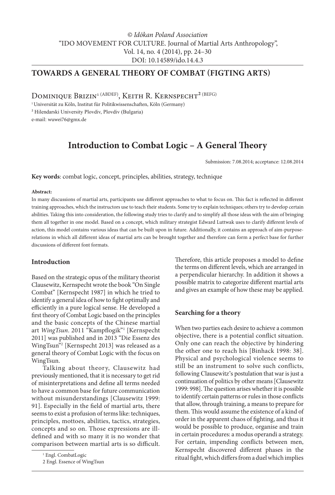### **TOWARDS A GENERAL THEORY OF COMBAT (FIGTING ARTS)**

DOMINIQUE BRIZIN<sup>1 (ABDEF)</sup>, KEITH R. KERNSPECHT<sup>2 (BEFG)</sup>

1 Universität zu Köln, Institut für Politikwissenschaften, Köln (Germany)

² Hilendarski University Plovdiv, Plovdiv (Bulgaria)

e-mail: wuwei76@gmx.de

### **Introduction to Combat Logic – A General Theory**

Submission: 7.08.2014; acceptance: 12.08.2014

**Key words**: combat logic, concept, principles, abilities, strategy, technique

#### **Abstract:**

In many discussions of martial arts, participants use different approaches to what to focus on. This fact is reflected in different training approaches, which the instructors use to teach their students. Some try to explain techniques; others try to develop certain abilities. Taking this into consideration, the following study tries to clarify and to simplify all those ideas with the aim of bringing them all together in one model. Based on a concept, which military strategist Edward Luttwak uses to clarify different levels of action, this model contains various ideas that can be built upon in future. Additionally, it contains an approach of aim-purposerelations in which all different ideas of martial arts can be brought together and therefore can form a perfect base for further discussions of different font formats.

#### **Introduction**

Based on the strategic opus of the military theorist Clausewitz, Kernspecht wrote the book "On Single Combat" [Kernspecht 1987] in which he tried to identify a general idea of how to fight optimally and efficiently in a pure logical sense. He developed a first theory of Combat Logic based on the principles and the basic concepts of the Chinese martial art *WingTsun*. 2011 "Kampflogik"1 [Kernspecht 2011] was published and in 2013 "Die Essenz des WingTsun"2 [Kernspecht 2013] was released as a general theory of Combat Logic with the focus on WingTsun.

Talking about theory, Clausewitz had previously mentioned, that it is necessary to get rid of misinterpretations and define all terms needed to have a common base for future communication without misunderstandings [Clausewitz 1999: 91]. Especially in the field of martial arts, there seems to exist a profusion of terms like: techniques, principles, mottoes, abilities, tactics, strategies, concepts and so on. Those expressions are illdefined and with so many it is no wonder that comparison between martial arts is so difficult.

Therefore, this article proposes a model to define the terms on different levels, which are arranged in a perpendicular hierarchy. In addition it shows a possible matrix to categorize different martial arts and gives an example of how these may be applied.

#### **Searching for a theory**

When two parties each desire to achieve a common objective, there is a potential conflict situation. Only one can reach the objective by hindering the other one to reach his [Binhack 1998: 38]. Physical and psychological violence seems to still be an instrument to solve such conflicts, following Clausewitz's postulation that war is just a continuation of politics by other means [Clausewitz 1999: 998]. The question arises whether it is possible to identify certain patterns or rules in those conflicts that allow, through training, a means to prepare for them. This would assume the existence of a kind of order in the apparent chaos of fighting, and thus it would be possible to produce, organise and train in certain procedures: a modus operandi a strategy. For certain, impending conflicts between men, Kernspecht discovered different phases in the ritual fight, which differs from a duel which implies

<sup>1</sup> Engl. CombatLogic

<sup>2</sup> Engl. Essence of WingTsun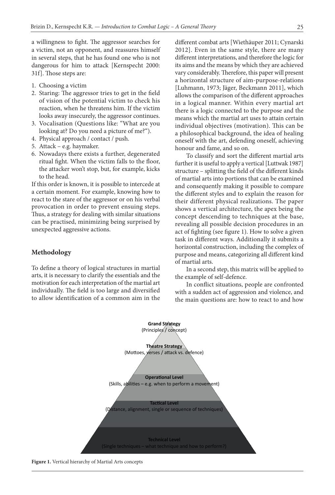a willingness to fight. The aggressor searches for a victim, not an opponent, and reassures himself in several steps, that he has found one who is not dangerous for him to attack [Kernspecht 2000: 31f]. Those steps are:

- 1. Choosing a victim
- 2. Staring: The aggressor tries to get in the field of vision of the potential victim to check his reaction, when he threatens him. If the victim looks away insecurely, the aggressor continues.
- 3. Vocalisation (Questions like: "What are you looking at? Do you need a picture of me?").
- 4. Physical approach / contact / push.
- 5. Attack e.g. haymaker.
- 6. Nowadays there exists a further, degenerated ritual fight. When the victim falls to the floor, the attacker won't stop, but, for example, kicks to the head.

If this order is known, it is possible to intercede at a certain moment. For example, knowing how to react to the stare of the aggressor or on his verbal provocation in order to prevent ensuing steps. Thus, a strategy for dealing with similar situations can be practised, minimizing being surprised by unexpected aggressive actions.

#### **Methodology**

To define a theory of logical structures in martial arts, it is necessary to clarify the essentials and the motivation for each interpretation of the martial art individually. The field is too large and diversified to allow identification of a common aim in the

different combat arts [Wiethäuper 2011; Cynarski 2012]. Even in the same style, there are many different interpretations, and therefore the logic for its aims and the means by which they are achieved vary considerably. Therefore, this paper will present a horizontal structure of aim-purpose-relations [Luhmann, 1973; Jäger, Beckmann 2011], which allows the comparison of the different approaches in a logical manner. Within every martial art there is a logic connected to the purpose and the means which the martial art uses to attain certain individual objectives (motivation). This can be a philosophical background, the idea of healing oneself with the art, defending oneself, achieving honour and fame, and so on.

To classify and sort the different martial arts further it is useful to apply a vertical [Luttwak 1987] structure – splitting the field of the different kinds of martial arts into portions that can be examined and consequently making it possible to compare the different styles and to explain the reason for their different physical realizations. The paper shows a vertical architecture, the apex being the concept descending to techniques at the base, revealing all possible decision procedures in an act of fighting (see figure 1). How to solve a given task in different ways. Additionally it submits a horizontal construction, including the complex of purpose and means, categorizing all different kind of martial arts.

In a second step, this matrix will be applied to the example of self-defence.

In conflict situations, people are confronted with a sudden act of aggression and violence, and the main questions are: how to react to and how



**Figure 1.** Vertical hierarchy of Martial Arts concepts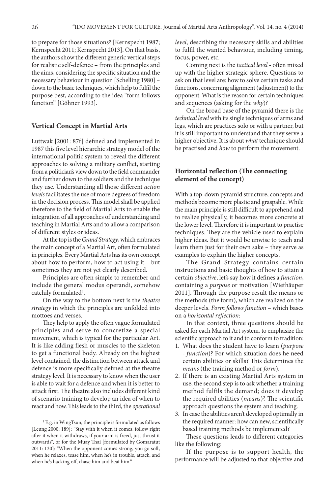to prepare for those situations? [Kernspecht 1987; Kernspecht 2011; Kernspecht 2013]. On that basis, the authors show the different generic vertical steps for realistic self-defence – from the principles and the aims, considering the specific situation and the necessary behaviour in question [Schelling 1980] – down to the basic techniques, which help to fulfil the purpose best, according to the idea "form follows function" [Göhner 1993].

#### **Vertical Concept in Martial Arts**

Luttwak [2001: 87f] defined and implemented in 1987 this five level hierarchic strategy model of the international politic system to reveal the different approaches to solving a military conflict, starting from a politician's view down to the field commander and further down to the soldiers and the technique they use. Understanding all those different *action levels* facilitates the use of more degrees of freedom in the decision process. This model shall be applied therefore to the field of Martial Arts to enable the integration of all approaches of understanding and teaching in Martial Arts and to allow a comparison of different styles or ideas.

At the top is the *Grand Strategy*, which embraces the main concept of a Martial Art, often formulated in principles. Every Martial Arts has its own concept about how to perform, how to act using it – but sometimes they are not yet clearly described.

Principles are often simple to remember and include the general modus operandi, somehow catchily formulated<sup>3</sup>.

On the way to the bottom next is the *theatre strategy* in which the principles are unfolded into mottoes and verses.

They help to apply the often vague formulated principles and serve to concretize a special movement, which is typical for the particular Art. It is like adding flesh or muscles to the skeleton to get a functional body. Already on the highest level contained, the distinction between attack and defence is more specifically defined at the theatre strategy level. It is necessary to know when the user is able to wait for a defence and when it is better to attack first. The theatre also includes different kind of scenario training to develop an idea of when to react and how. This leads to the third, the *operational*  *level*, describing the necessary skills and abilities to fulfil the wanted behaviour, including timing, focus, power, etc.

Coming next is the *tactical level* - often mixed up with the higher strategic sphere. Questions to ask on that level are: how to solve certain tasks and functions, concerning alignment (adjustment) to the opponent. What is the reason for certain techniques and sequences (asking for the *why*)?

On the broad base of the pyramid there is the *technical level* with its single techniques of arms and legs, which are practices solo or with a partner, but it is still important to understand that they serve a higher objective. It is about *what* technique should be practised and *how* to perform the movement.

#### **Horizontal reflection (The connecting element of the concept)**

With a top-down pyramid structure, concepts and methods become more plastic and graspable. While the main principle is still difficult to apprehend and to realize physically, it becomes more concrete at the lower level. Therefore it is important to practise techniques: They are the vehicle used to explain higher ideas. But it would be unwise to teach and learn them just for their own sake – they serve as examples to explain the higher concepts.

The Grand Strategy contains certain instructions and basic thoughts of how to attain a certain *objective*, let's say how it defines a *function*, containing a *purpose* or motivation [Wiethäuper 2011]. Through the purpose result the means or the methods (the form), which are realized on the deeper levels. *Form follows function* – which bases on a *horizontal reflection*:

In that context, three questions should be asked for each Martial Art system, to emphasize the scientific approach to it and to conform to tradition:

- 1. What does the student have to learn (*purpose - function*)? For which situation does he need certain abilities or skills? This determines the *means* (the training method or *form*).
- 2. If there is an existing Martial Arts system in use, the second step is to ask whether a training method fulfils the demand; does it develop the required abilities (*means*)? The scientific approach questions the system and teaching.
- 3. In case the abilities aren't developed optimally in the required manner: how can new, scientifically based training methods be implemented?

These questions leads to different categories like the following:

If the purpose is to support health, the performance will be adjusted to that objective and

<sup>3</sup> E.g. in WingTsun, the principle is formulated as follows [Leung 2000: 189]: "Stay with it when it comes, follow right after it when it withdraws, if your arm is freed, just thrust it outwards", or for the Muay Thai [formulated by Gomaratut 2011: 130]: "When the opponent comes strong, you go soft, when he relaxes, tease him, when he's in trouble, attack, and when he's backing off, chase him and beat him."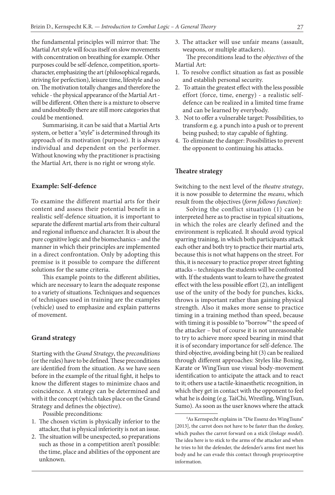the fundamental principles will mirror that: The Martial Art style will focus itself on slow movements with concentration on breathing for example. Other purposes could be self-defence, competition, sportscharacter, emphasizing the art (philosophical regards, striving for perfection), leisure time, lifestyle and so on. The motivation totally changes and therefore the vehicle - the physical appearance of the Martial Art will be different. Often there is a mixture to observe and undoubtedly there are still more categories that could be mentioned.

Summarising, it can be said that a Martial Arts system, or better a "style" is determined through its approach of its motivation (purpose). It is always individual and dependent on the performer. Without knowing why the practitioner is practising the Martial Art, there is no right or wrong style.

#### **Example: Self-defence**

To examine the different martial arts for their content and assess their potential benefit in a realistic self-defence situation, it is important to separate the different martial arts from their cultural and regional influence and character. It is about the pure cognitive logic and the biomechanics – and the manner in which their principles are implemented in a direct confrontation. Only by adopting this premise is it possible to compare the different solutions for the same criteria.

This example points to the different abilities, which are necessary to learn the adequate response to a variety of situations. Techniques and sequences of techniques used in training are the examples (vehicle) used to emphasize and explain patterns of movement.

#### **Grand strategy**

Starting with the *Grand Strategy*, the *preconditions* (or the rules) have to be defined. These preconditions are identified from the situation. As we have seen before in the example of the ritual fight, it helps to know the different stages to minimize chaos and coincidence. A strategy can be determined and with it the concept (which takes place on the Grand Strategy and defines the objective).

Possible preconditions:

- 1. The chosen victim is physically inferior to the attacker, that is physical inferiority is not an issue.
- 2. The situation will be unexpected, so preparations such as those in a competition aren't possible: the time, place and abilities of the opponent are unknown.

3. The attacker will use unfair means (assault, weapons, or multiple attackers).

The preconditions lead to the *objectives* of the Martial Art:

- 1. To resolve conflict situation as fast as possible and establish personal security.
- 2. To attain the greatest effect with the less possible effort (force, time, energy) - a realistic selfdefence can be realized in a limited time frame and can be learned by everybody.
- 3. Not to offer a vulnerable target: Possibilities, to transform e.g. a punch into a push or to prevent being pushed; to stay capable of fighting.
- 4. To eliminate the danger: Possibilities to prevent the opponent to continuing his attacks.

#### **Theatre strategy**

Switching to the next level of the *theatre strategy*, it is now possible to determine the *means*, which result from the objectives (*form follows function*):

Solving the conflict situation (1) can be interpreted here as to practise in typical situations, in which the roles are clearly defined and the environment is replicated. It should avoid typical sparring training, in which both participants attack each other and both try to practice their martial arts, because this is not what happens on the street. For this, it is necessary to practice proper street fighting attacks – techniques the students will be confronted with. If the students want to learn to have the greatest effect with the less possible effort (2), an intelligent use of the unity of the body for punches, kicks, throws is important rather than gaining physical strength. Also it makes more sense to practice timing in a training method than speed, because with timing it is possible to "borrow"4 the speed of the attacker – but of course it is not unreasonable to try to achieve more speed bearing in mind that it is of secondary importance for self-defence. The third objective, avoiding being hit (3) can be realized through different approaches: Styles like Boxing, Karate or WingTsun use visual body-movement identification to anticipate the attack and to react to it; others use a tactile-kinaesthetic recognition, in which they get in contact with the opponent to feel what he is doing (e.g. TaiChi, Wrestling, WingTsun, Sumo). As soon as the user knows where the attack

<sup>4</sup> As Kernspecht explains in "Die Essenz des WingTsuns" [2013], the carrot does not have to be faster than the donkey, which pushes the carrot forward on a stick (*linkage model*). The idea here is to stick to the arms of the attacker and when he tries to hit the defender, the defender's arms first meet his body and he can evade this contact through proprioceptive information.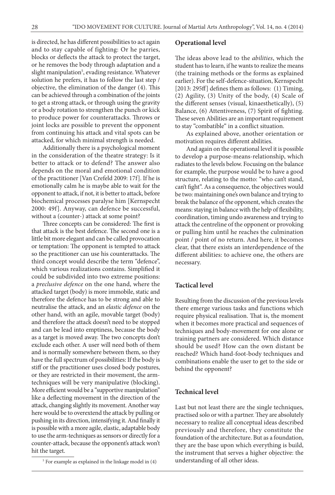is directed, he has different possibilities to act again and to stay capable of fighting: Or he parries, blocks or deflects the attack to protect the target, or he removes the body through adaptation and a slight manipulation<sup>5</sup>, evading resistance. Whatever solution he prefers, it has to follow the last step / objective, the elimination of the danger (4). This can be achieved through a combination of the joints to get a strong attack, or through using the gravity or a body rotation to strengthen the punch or kick to produce power for counterattacks. Throws or joint locks are possible to prevent the opponent from continuing his attack and vital spots can be attacked, for which minimal strength is needed.

Additionally there is a psychological moment in the consideration of the theatre strategy: Is it better to attack or to defend? The answer also depends on the moral and emotional condition of the practitioner [Van Crefeld 2009: 17f]. If he is emotionally calm he is maybe able to wait for the opponent to attack, if not, it is better to attack, before biochemical processes paralyse him [Kernspecht 2000: 49f]. Anyway, can defence be successful, without a (counter-) attack at some point?

Three concepts can be considered: The first is that attack is the best defence. The second one is a little bit more elegant and can be called provocation or temptation: The opponent is tempted to attack so the practitioner can use his counterattacks. The third concept would describe the term "defence", which various realizations contains. Simplified it could be subdivided into two extreme positions: a *preclusive defence* on the one hand, where the attacked target (body) is more immobile, static and therefore the defence has to be strong and able to neutralise the attack, and an *elastic defence* on the other hand, with an agile, movable target (body) and therefore the attack doesn't need to be stopped and can be lead into emptiness, because the body as a target is moved away. The two concepts don't exclude each other. A user will need both of them and is normally somewhere between them, so they have the full spectrum of possibilities: If the body is stiff or the practitioner uses closed body postures, or they are restricted in their movement, the armtechniques will be very manipulative (blocking). More efficient would be a "supportive manipulation" like a deflecting movement in the direction of the attack, changing slightly its movement. Another way here would be to overextend the attack by pulling or pushing in its direction, intensifying it. And finally it is possible with a more agile, elastic, adaptable body to use the arm-techniques as sensors or directly for a counter-attack, because the opponent's attack won't hit the target.

#### **Operational level**

The ideas above lead to the *abilities*, which the student has to learn, if he wants to realize the means (the training methods or the forms as explained earlier). For the self-defence-situation, Kernspecht [2013: 295ff] defines them as follows: (1) Timing, (2) Agility, (3) Unity of the body, (4) Scale of the different senses (visual, kinaesthetically), (5) Balance, (6) Attentiveness, (7) Spirit of fighting. These seven Abilities are an important requirement to stay "combatible" in a conflict situation.

As explained above, another orientation or motivation requires different abilities.

And again on the operational level it is possible to develop a purpose-means-relationship, which radiates to the levels below. Focusing on the balance for example, the purpose would be to have a good structure, relating to the motto: "who can't stand, can't fight". As a consequence, the objectives would be two: maintaining one's own balance and trying to break the balance of the opponent, which creates the means: staying in balance with the help of flexibility, coordination, timing undo awareness and trying to attack the centreline of the opponent or provoking or pulling him until he reaches the culmination point / point of no return. And here, it becomes clear, that there exists an interdependence of the different abilities: to achieve one, the others are necessary.

#### **Tactical level**

Resulting from the discussion of the previous levels there emerge various tasks and functions which require physical realisation. That is, the moment when it becomes more practical and sequences of techniques and body-movement for one alone or training partners are considered. Which distance should be used? How can the own distant be reached? Which hand-foot-body techniques and combinations enable the user to get to the side or behind the opponent?

#### **Technical level**

Last but not least there are the single techniques, practised solo or with a partner. They are absolutely necessary to realize all conceptual ideas described previously and therefore, they constitute the foundation of the architecture. But as a foundation, they are the base upon which everything is build, the instrument that serves a higher objective: the understanding of all other ideas.

<sup>5</sup> For example as explained in the linkage model in (4)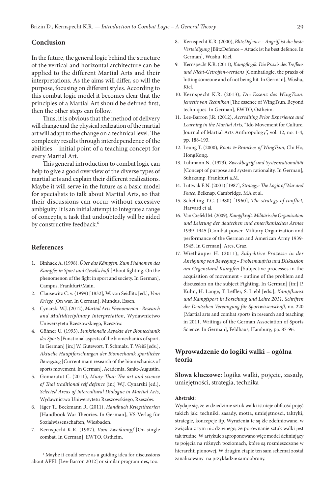#### **Conclusion**

In the future, the general logic behind the structure of the vertical and horizontal architecture can be applied to the different Martial Arts and their interpretations. As the aims will differ, so will the purpose, focusing on different styles. According to this combat logic model it becomes clear that the principles of a Martial Art should be defined first, then the other steps can follow.

Thus, it is obvious that the method of delivery will change and the physical realization of the martial art will adapt to the change on a technical level. The complexity results through interdependence of the abilities – initial point of a teaching concept for every Martial Art.

This general introduction to combat logic can help to give a good overview of the diverse types of martial arts and explain their different realizations. Maybe it will serve in the future as a basic model for specialists to talk about Martial Arts, so that their discussions can occur without excessive ambiguity. It is an initial attempt to integrate a range of concepts, a task that undoubtedly will be aided by constructive feedback.<sup>6</sup>

#### **References**

- 1. Binhack A. (1998), *Über das Kämpfen. Zum Phänomen des Kampfes in Sport und Gesellschaft* [About fighting. On the phenomenon of the fight in sport and society. In German], Campus, Frankfurt/Main.
- 2. Clausewitz C. v. (1999) [1832], W. von Seidlitz [ed.], *Vom Kriege* [On war. In German], Mundus, Essen.
- 3. Cynarski W.J. (2012), *Martial Arts Phenomenon Research and Multidisciplinary Interpretation*, Wydawnictwo Uniwersytetu Rzeszowskiego, Rzeszów.
- 4. Göhner U. (1993), *Funktionelle Aspekte der Biomechanik des Sports* [Functional aspects of the biomechanics of sport. In German] [in:] W. Gutewort, T. Schmalz, T. Weiß [eds.], *Aktuelle Hauptforschungen der Biomechanik sportlicher Bewegung* [Current main research of the biomechanics of sports movement. In German], Academia, Sankt-Augustin.
- 5. Gomaratut C. (2011), *Muay-Thai: The art and science of Thai traditional self defence* [in:] W.J. Cynarski [ed.], *Selected Areas of Intercultural Dialogue in Martial Arts*, Wydawnictwo Uniwersytetu Rzeszowskiego, Rzeszów.
- 6. Jäger T., Beckmann R. (2011), *Handbuch Kriegstheorien* [Handbook War Theories. In German], VS-Verlag für Sozialwissenschaften, Wiesbaden.
- 7. Kernspecht K.R. (1987), *Vom Zweikampf* [On single combat. In German], EWTO, Ostheim.
- 8. Kernspecht K.R. (2000), *BlitzDefence Angriff ist die beste Verteidigung* [BlitzDefence – Attack ist he best defence. In German], Wushu, Kiel.
- 9. Kernspecht K.R. (2011), *Kampflogik. Die Praxis des Treffens und Nicht-Getroffen-werdens* [Combatlogic, the praxis of hitting someone and of not being hit. In German], Wushu, Kiel.
- 10. Kernspecht K.R. (2013), *Die Essenz des WingTsun. Jenseits von Techniken* [The essence of WingTsun. Beyond techniques. In German], EWTO, Ostheim.
- 11. Lee-Barron J.R. (2012), *Accrediting Prior Experience and Learning in the Martial Arts*, "Ido Movement for Culture. Journal of Martial Arts Anthropology", vol. 12, no. 1-4, pp. 188-193.
- 12. Leung T. (2000), *Roots & Branches of WingTsun*, Chi Ho, HongKong.
- 13. Luhmann N. (1973), *Zweckbegriff und Systemrationalität*  [Concept of purpose and system rationality. In German], Suhrkamp, Frankfurt a.M.
- 14. Luttwak E.N. (2001) [1987], *Strategy: The Logic of War and Peace*, Belknap, Cambridge, MA et al.
- 15. Schelling T.C. (1980) [1960], *The strategy of conflict,*  Harvard et al.
- 16. Van Crefeld M. (2009), *Kampfkraft. Militärische Organisation und Leistung der deutschen und amerikanischen Armee*  1939-1945 [Combat power. Military Organization and performance of the German and American Army 1939- 1945. In German], Ares, Graz.
- 17. Wiethäuper H. (2011), *Subjektive Prozesse in der Aneignung von Bewegung – Problemaufriss und Diskussion am Gegenstand Kämpfen* [Subjective processes in the acquisition of movement - outline of the problem and discussion on the subject Fighting. In German] [in:] P. Kuhn, H. Lange, T. Leffler, S. Liebl [eds.], *Kampfkunst und Kampfsport in Forschung und Lehre 2011. Schriften der Deutschen Vereinigung für Sportwissenschaft*, no. 220 [Martial arts and combat sports in research and teaching in 2011. Writings of the German Association of Sports Science. In German], Feldhaus, Hamburg, pp. 87-96.

#### **Wprowadzenie do logiki walki – ogólna teoria**

**Słowa kluczowe:** logika walki, pojęcie, zasady, umiejętności, strategia, technika

#### **Abstrakt:**

Wydaje się, że w dziedzinie sztuk walki istnieje obfitość pojęć takich jak: techniki, zasady, motta, umiejętności, taktyki, strategie, koncepcje itp. Wyrażenia te są źle zdefiniowane, w związku z tym nic dziwnego, że porównanie sztuk walki jest tak trudne. W artykule zaproponowano więc model definiujący te pojęcia na różnych poziomach, które są rozmieszczone w hierarchii pionowej. W drugim etapie ten sam schemat został zanalizowany na przykładzie samoobrony.

<sup>6</sup> Maybe it could serve as a guiding idea for discussions about APEL [Lee-Barron 2012] or similar programmes, too.